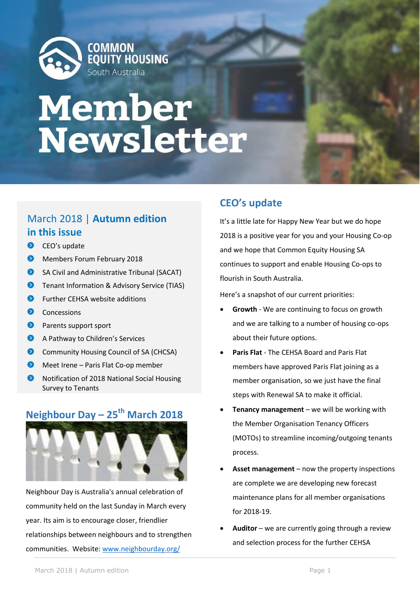

# **Member<br>Newsletter**

# March 2018 | **Autumn edition in this issue**

- CEO's update
- $\bullet$ Members Forum February 2018
- $\bullet$ SA Civil and Administrative Tribunal (SACAT)
- **D** Tenant Information & Advisory Service (TIAS)
- $\bullet$ Further CEHSA website additions
- **O** Concessions
- **P** Parents support sport
- $\bullet$ A Pathway to Children's Services
- ◉ Community Housing Council of SA (CHCSA)
- $\bullet$ Meet Irene – Paris Flat Co-op member
- ◉ Notification of 2018 National Social Housing Survey to Tenants

# **Neighbour Day – 25th March 2018**



Neighbour Day is Australia's annual celebration of community held on the last Sunday in March every year. Its aim is to encourage closer, friendlier relationships between neighbours and to strengthen communities. Website: [www.neighbourday.org/](http://www.neighbourday.org/)

# **CEO's update**

It's a little late for Happy New Year but we do hope 2018 is a positive year for you and your Housing Co-op and we hope that Common Equity Housing SA continues to support and enable Housing Co-ops to flourish in South Australia.

Here's a snapshot of our current priorities:

- **Growth** We are continuing to focus on growth and we are talking to a number of housing co-ops about their future options.
- **Paris Flat** The CEHSA Board and Paris Flat members have approved Paris Flat joining as a member organisation, so we just have the final steps with Renewal SA to make it official.
- **Tenancy management** we will be working with the Member Organisation Tenancy Officers (MOTOs) to streamline incoming/outgoing tenants process.
- **Asset management** now the property inspections are complete we are developing new forecast maintenance plans for all member organisations for 2018-19.
- **Auditor** we are currently going through a review and selection process for the further CEHSA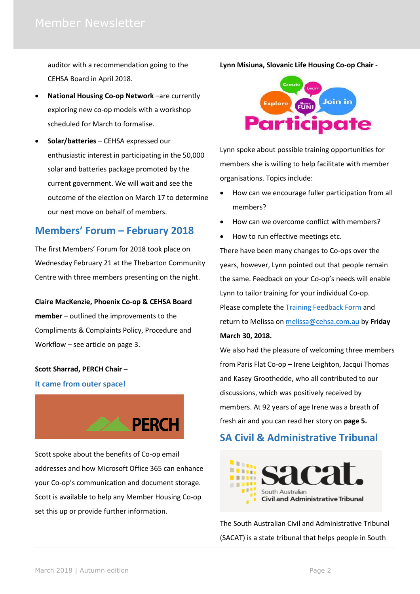auditor with a recommendation going to the CEHSA Board in April 2018.

- **National Housing Co-op Network** –are currently exploring new co-op models with a workshop scheduled for March to formalise.
- **Solar/batteries** CEHSA expressed our enthusiastic interest in participating in the 50,000 solar and batteries package promoted by the current government. We will wait and see the outcome of the election on March 17 to determine our next move on behalf of members.

## **Members' Forum – February 2018**

The first Members' Forum for 2018 took place on Wednesday February 21 at the Thebarton Community Centre with three members presenting on the night.

### **Claire MacKenzie, Phoenix Co-op & CEHSA Board**

**member** – outlined the improvements to the Compliments & Complaints Policy, Procedure and Workflow – see article on page 3.

#### **Scott Sharrad, PERCH Chair –**

#### **It came from outer space!**



Scott spoke about the benefits of Co-op email addresses and how Microsoft Office 365 can enhance your Co-op's communication and document storage. Scott is available to help any Member Housing Co-op set this up or provide further information.

**Lynn Misiuna, Slovanic Life Housing Co-op Chair** -



Lynn spoke about possible training opportunities for members she is willing to help facilitate with member organisations. Topics include:

- How can we encourage fuller participation from all members?
- How can we overcome conflict with members?
- How to run effective meetings etc.

There have been many changes to Co-ops over the years, however, Lynn pointed out that people remain the same. Feedback on your Co-op's needs will enable Lynn to tailor training for your individual Co-op. Please complete the [Training Feedback Form](file://///server/company/Administration/Meetings%20Member%20Forums/2018%20Meetings/47%20Members%20Forum%20February%202018/Members%20Forum%20training%20feedback%20form%20for%20Lynn%2021%20FEB%202018.docx) and return to Melissa on [melissa@cehsa.com.au](mailto:melissa@cehsa.com.au) by **Friday**

### **March 30, 2018.**

We also had the pleasure of welcoming three members from Paris Flat Co-op – Irene Leighton, Jacqui Thomas and Kasey Groothedde, who all contributed to our discussions, which was positively received by members. At 92 years of age Irene was a breath of fresh air and you can read her story on **page 5.**

# **SA Civil & Administrative Tribunal**



The South Australian Civil and Administrative Tribunal (SACAT) is a state tribunal that helps people in South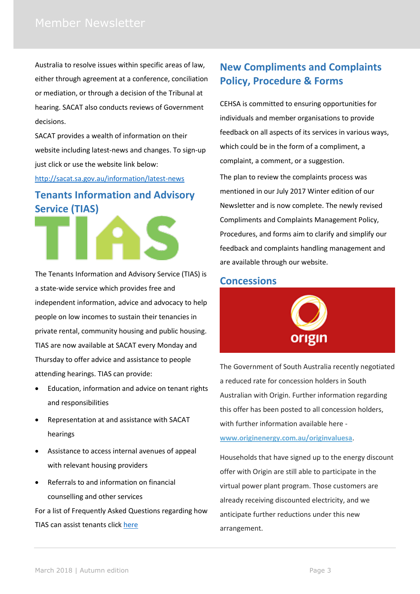Australia to resolve issues within specific areas of law, either through agreement at a conference, conciliation or mediation, or through a decision of the Tribunal at hearing. SACAT also conducts reviews of Government decisions.

SACAT provides a wealth of information on their website including latest-news and changes. To sign-up just click or use the website link below:

<http://sacat.sa.gov.au/information/latest-news>

# **Tenants Information and Advisory Service (TIAS)**



The Tenants Information and Advisory Service (TIAS) is a state-wide service which provides free and independent information, advice and advocacy to help people on low incomes to sustain their tenancies in private rental, community housing and public housing. TIAS are now available at SACAT every Monday and Thursday to offer advice and assistance to people attending hearings. TIAS can provide:

- Education, information and advice on tenant rights and responsibilities
- Representation at and assistance with SACAT hearings
- Assistance to access internal avenues of appeal with relevant housing providers
- Referrals to and information on financial counselling and other services

For a list of Frequently Asked Questions regarding how TIAS can assist tenants click [here](http://www.syc.net.au/tias/frequently-asked-questions/)

# **New Compliments and Complaints Policy, Procedure & Forms**

CEHSA is committed to ensuring opportunities for individuals and member organisations to provide feedback on all aspects of its services in various ways, which could be in the form of a compliment, a complaint, a comment, or a suggestion.

The plan to review the complaints process was mentioned in our July 2017 Winter edition of our Newsletter and is now complete. The newly revised Compliments and Complaints Management Policy, Procedures, and forms aim to clarify and simplify our feedback and complaints handling management and are available through our website.

## **Concessions**



The Government of South Australia recently negotiated a reduced rate for concession holders in South Australian with Origin. Further information regarding this offer has been posted to all concession holders, with further information available here **[www.originenergy.com.au/originvaluesa](http://www.originenergy.com.au/originvaluesa)**.

Households that have signed up to the energy discount offer with Origin are still able to participate in the virtual power plant program. Those customers are already receiving discounted electricity, and we anticipate further reductions under this new arrangement.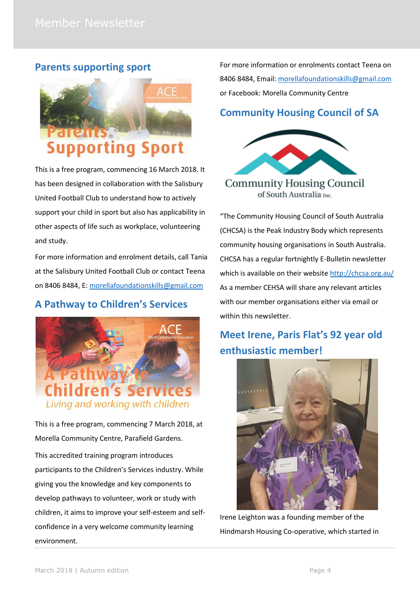## **Parents supporting sport**



This is a free program, commencing 16 March 2018. It has been designed in collaboration with the Salisbury United Football Club to understand how to actively support your child in sport but also has applicability in other aspects of life such as workplace, volunteering and study.

For more information and enrolment details, call Tania at the Salisbury United Football Club or contact Teena on 8406 8484, E: [morellafoundationskills@gmail.com](mailto:morellafoundationskills@gmail.com)

# **A Pathway to Children's Services**



This is a free program, commencing 7 March 2018, at Morella Community Centre, Parafield Gardens. This accredited training program introduces participants to the Children's Services industry. While giving you the knowledge and key components to develop pathways to volunteer, work or study with children, it aims to improve your self-esteem and selfconfidence in a very welcome community learning environment.

For more information or enrolments contact Teena on 8406 8484, Email: [morellafoundationskills@gmail.com](mailto:morellafoundationskills@gmail.com) or Facebook: Morella Community Centre

# **Community Housing Council of SA**



"The Community Housing Council of South Australia (CHCSA) is the Peak Industry Body which represents community housing organisations in South Australia. CHCSA has a regular fortnightly E-Bulletin newsletter which is available on their websit[e http://chcsa.org.au/](http://chcsa.org.au/) As a member CEHSA will share any relevant articles with our member organisations either via email or within this newsletter.

# **Meet Irene, Paris Flat's 92 year old enthusiastic member!**



Irene Leighton was a founding member of the Hindmarsh Housing Co-operative, which started in